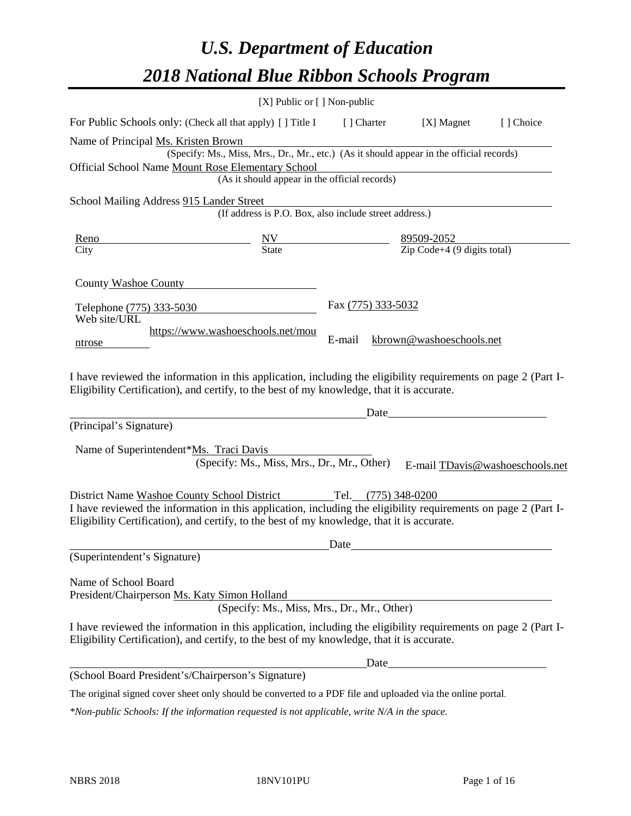# *U.S. Department of Education 2018 National Blue Ribbon Schools Program*

|                                                                                                                                                                                                                                                                                            | [X] Public or $[$ ] Non-public                                                           |                                                                     |                                                    |                                 |
|--------------------------------------------------------------------------------------------------------------------------------------------------------------------------------------------------------------------------------------------------------------------------------------------|------------------------------------------------------------------------------------------|---------------------------------------------------------------------|----------------------------------------------------|---------------------------------|
| For Public Schools only: (Check all that apply) [] Title I                                                                                                                                                                                                                                 |                                                                                          | [ ] Charter                                                         | [X] Magnet                                         | [] Choice                       |
| Name of Principal Ms. Kristen Brown                                                                                                                                                                                                                                                        |                                                                                          |                                                                     |                                                    |                                 |
|                                                                                                                                                                                                                                                                                            | (Specify: Ms., Miss, Mrs., Dr., Mr., etc.) (As it should appear in the official records) |                                                                     |                                                    |                                 |
| Official School Name Mount Rose Elementary School                                                                                                                                                                                                                                          |                                                                                          |                                                                     |                                                    |                                 |
|                                                                                                                                                                                                                                                                                            | (As it should appear in the official records)                                            |                                                                     |                                                    |                                 |
| School Mailing Address 915 Lander Street                                                                                                                                                                                                                                                   |                                                                                          |                                                                     |                                                    |                                 |
|                                                                                                                                                                                                                                                                                            | (If address is P.O. Box, also include street address.)                                   |                                                                     |                                                    |                                 |
| Reno                                                                                                                                                                                                                                                                                       |                                                                                          | $\frac{NV}{State}$ $\frac{89509-2052}{Zip Code+4 (9 digits total)}$ |                                                    |                                 |
| City                                                                                                                                                                                                                                                                                       |                                                                                          |                                                                     |                                                    |                                 |
| County Washoe County<br>Telephone (775) 333-5030<br>Web site/URL<br>ntrose<br>I have reviewed the information in this application, including the eligibility requirements on page 2 (Part I-<br>Eligibility Certification), and certify, to the best of my knowledge, that it is accurate. | https://www.washoeschools.net/mou                                                        | Fax (775) 333-5032<br>E-mail                                        | kbrown@washoeschools.net                           |                                 |
|                                                                                                                                                                                                                                                                                            |                                                                                          | Date                                                                | <u> 1989 - Johann Barbara, martxa alemani</u> ar a |                                 |
| (Principal's Signature)                                                                                                                                                                                                                                                                    |                                                                                          |                                                                     |                                                    |                                 |
| Name of Superintendent*Ms. Traci Davis                                                                                                                                                                                                                                                     |                                                                                          |                                                                     |                                                    |                                 |
|                                                                                                                                                                                                                                                                                            | (Specify: Ms., Miss, Mrs., Dr., Mr., Other)                                              |                                                                     |                                                    | E-mail TDavis@washoeschools.net |
|                                                                                                                                                                                                                                                                                            |                                                                                          |                                                                     |                                                    |                                 |
| District Name Washoe County School District<br>I have reviewed the information in this application, including the eligibility requirements on page 2 (Part I-<br>Eligibility Certification), and certify, to the best of my knowledge, that it is accurate.                                |                                                                                          | Tel. (775) 348-0200                                                 |                                                    |                                 |
|                                                                                                                                                                                                                                                                                            |                                                                                          | Date                                                                |                                                    |                                 |
| (Superintendent's Signature)                                                                                                                                                                                                                                                               |                                                                                          |                                                                     |                                                    |                                 |
| Name of School Board<br>President/Chairperson Ms. Katy Simon Holland                                                                                                                                                                                                                       | (Specify: Ms., Miss, Mrs., Dr., Mr., Other)                                              |                                                                     |                                                    |                                 |
| I have reviewed the information in this application, including the eligibility requirements on page 2 (Part I-<br>Eligibility Certification), and certify, to the best of my knowledge, that it is accurate.                                                                               |                                                                                          |                                                                     |                                                    |                                 |
|                                                                                                                                                                                                                                                                                            |                                                                                          |                                                                     |                                                    |                                 |
| (School Board President's/Chairperson's Signature)                                                                                                                                                                                                                                         |                                                                                          |                                                                     |                                                    |                                 |
| The original signed cover sheet only should be converted to a PDF file and uploaded via the online portal.                                                                                                                                                                                 |                                                                                          |                                                                     |                                                    |                                 |

*\*Non-public Schools: If the information requested is not applicable, write N/A in the space.*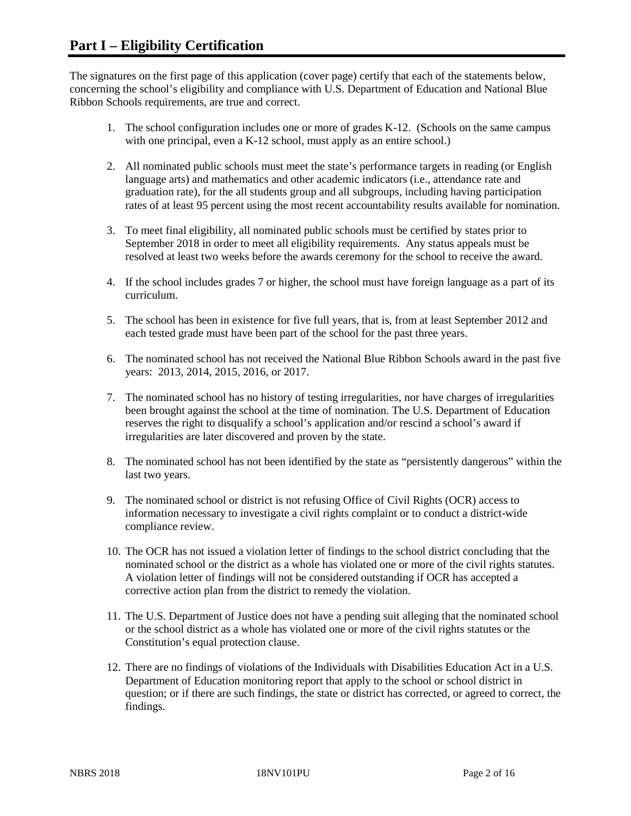The signatures on the first page of this application (cover page) certify that each of the statements below, concerning the school's eligibility and compliance with U.S. Department of Education and National Blue Ribbon Schools requirements, are true and correct.

- 1. The school configuration includes one or more of grades K-12. (Schools on the same campus with one principal, even a K-12 school, must apply as an entire school.)
- 2. All nominated public schools must meet the state's performance targets in reading (or English language arts) and mathematics and other academic indicators (i.e., attendance rate and graduation rate), for the all students group and all subgroups, including having participation rates of at least 95 percent using the most recent accountability results available for nomination.
- 3. To meet final eligibility, all nominated public schools must be certified by states prior to September 2018 in order to meet all eligibility requirements. Any status appeals must be resolved at least two weeks before the awards ceremony for the school to receive the award.
- 4. If the school includes grades 7 or higher, the school must have foreign language as a part of its curriculum.
- 5. The school has been in existence for five full years, that is, from at least September 2012 and each tested grade must have been part of the school for the past three years.
- 6. The nominated school has not received the National Blue Ribbon Schools award in the past five years: 2013, 2014, 2015, 2016, or 2017.
- 7. The nominated school has no history of testing irregularities, nor have charges of irregularities been brought against the school at the time of nomination. The U.S. Department of Education reserves the right to disqualify a school's application and/or rescind a school's award if irregularities are later discovered and proven by the state.
- 8. The nominated school has not been identified by the state as "persistently dangerous" within the last two years.
- 9. The nominated school or district is not refusing Office of Civil Rights (OCR) access to information necessary to investigate a civil rights complaint or to conduct a district-wide compliance review.
- 10. The OCR has not issued a violation letter of findings to the school district concluding that the nominated school or the district as a whole has violated one or more of the civil rights statutes. A violation letter of findings will not be considered outstanding if OCR has accepted a corrective action plan from the district to remedy the violation.
- 11. The U.S. Department of Justice does not have a pending suit alleging that the nominated school or the school district as a whole has violated one or more of the civil rights statutes or the Constitution's equal protection clause.
- 12. There are no findings of violations of the Individuals with Disabilities Education Act in a U.S. Department of Education monitoring report that apply to the school or school district in question; or if there are such findings, the state or district has corrected, or agreed to correct, the findings.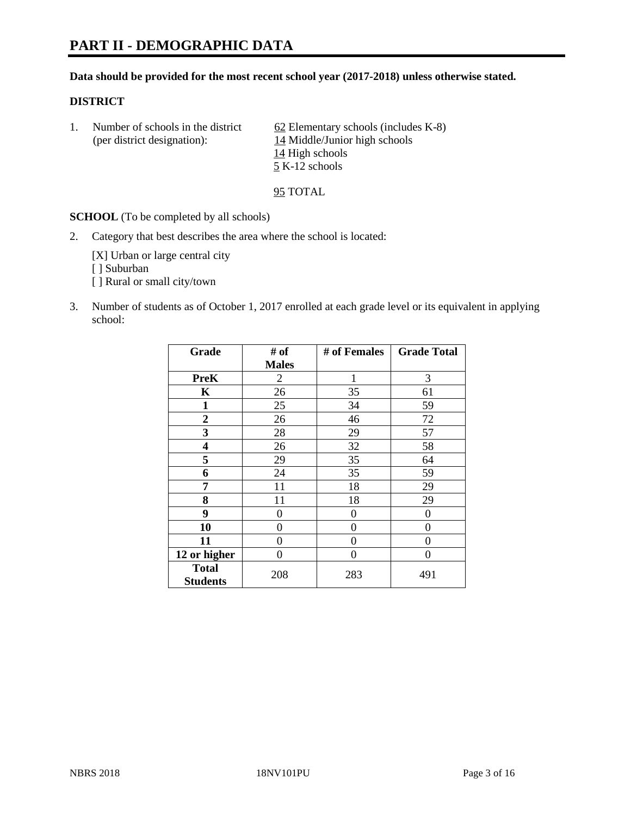# **PART II - DEMOGRAPHIC DATA**

#### **Data should be provided for the most recent school year (2017-2018) unless otherwise stated.**

#### **DISTRICT**

1. Number of schools in the district  $62$  Elementary schools (includes K-8) (per district designation): 14 Middle/Junior high schools 14 High schools 5 K-12 schools

95 TOTAL

**SCHOOL** (To be completed by all schools)

2. Category that best describes the area where the school is located:

[X] Urban or large central city [ ] Suburban [] Rural or small city/town

3. Number of students as of October 1, 2017 enrolled at each grade level or its equivalent in applying school:

| Grade                           | # of           | # of Females | <b>Grade Total</b> |
|---------------------------------|----------------|--------------|--------------------|
|                                 | <b>Males</b>   |              |                    |
| <b>PreK</b>                     | $\overline{c}$ | 1            | 3                  |
| $\mathbf K$                     | 26             | 35           | 61                 |
| $\mathbf{1}$                    | 25             | 34           | 59                 |
| 2                               | 26             | 46           | 72                 |
| 3                               | 28             | 29           | 57                 |
| 4                               | 26             | 32           | 58                 |
| 5                               | 29             | 35           | 64                 |
| 6                               | 24             | 35           | 59                 |
| 7                               | 11             | 18           | 29                 |
| 8                               | 11             | 18           | 29                 |
| 9                               | 0              | 0            | 0                  |
| 10                              | 0              | $\Omega$     | 0                  |
| 11                              | 0              | 0            | 0                  |
| 12 or higher                    | 0              | 0            | 0                  |
| <b>Total</b><br><b>Students</b> | 208            | 283          | 491                |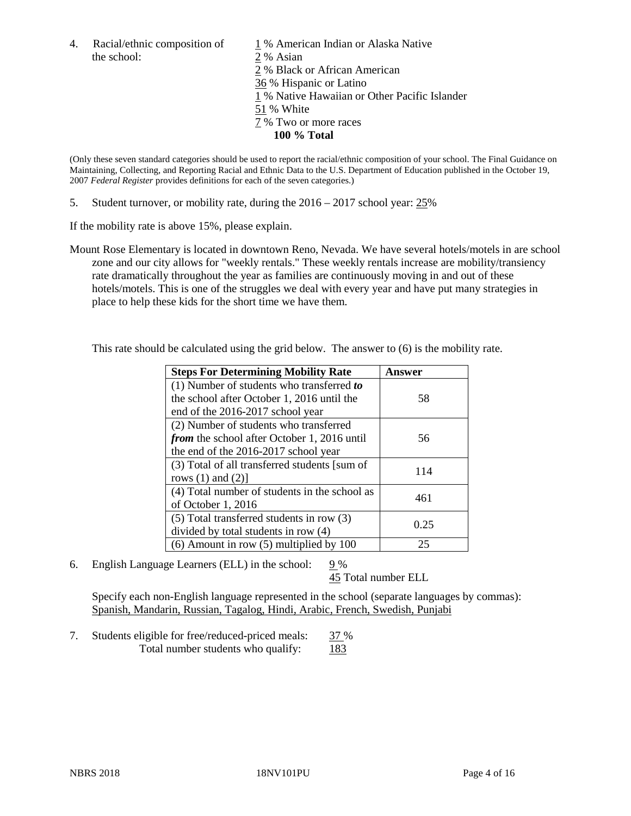the school: 2 % Asian

4. Racial/ethnic composition of  $1\%$  American Indian or Alaska Native 2 % Black or African American 36 % Hispanic or Latino 1 % Native Hawaiian or Other Pacific Islander 51 % White 7 % Two or more races **100 % Total**

(Only these seven standard categories should be used to report the racial/ethnic composition of your school. The Final Guidance on Maintaining, Collecting, and Reporting Racial and Ethnic Data to the U.S. Department of Education published in the October 19, 2007 *Federal Register* provides definitions for each of the seven categories.)

5. Student turnover, or mobility rate, during the 2016 – 2017 school year: 25%

If the mobility rate is above 15%, please explain.

Mount Rose Elementary is located in downtown Reno, Nevada. We have several hotels/motels in are school zone and our city allows for "weekly rentals." These weekly rentals increase are mobility/transiency rate dramatically throughout the year as families are continuously moving in and out of these hotels/motels. This is one of the struggles we deal with every year and have put many strategies in place to help these kids for the short time we have them.

This rate should be calculated using the grid below. The answer to (6) is the mobility rate.

| <b>Steps For Determining Mobility Rate</b>         | Answer |  |
|----------------------------------------------------|--------|--|
| (1) Number of students who transferred to          |        |  |
| the school after October 1, 2016 until the         | 58     |  |
| end of the 2016-2017 school year                   |        |  |
| (2) Number of students who transferred             |        |  |
| <i>from</i> the school after October 1, 2016 until | 56     |  |
| the end of the 2016-2017 school year               |        |  |
| (3) Total of all transferred students [sum of      | 114    |  |
| rows $(1)$ and $(2)$ ]                             |        |  |
| (4) Total number of students in the school as      | 461    |  |
| of October 1, 2016                                 |        |  |
| $(5)$ Total transferred students in row $(3)$      | 0.25   |  |
| divided by total students in row (4)               |        |  |
| $(6)$ Amount in row $(5)$ multiplied by 100        | 25     |  |

6. English Language Learners (ELL) in the school:  $9\%$ 

45 Total number ELL

Specify each non-English language represented in the school (separate languages by commas): Spanish, Mandarin, Russian, Tagalog, Hindi, Arabic, French, Swedish, Punjabi

7. Students eligible for free/reduced-priced meals: 37 % Total number students who qualify: 183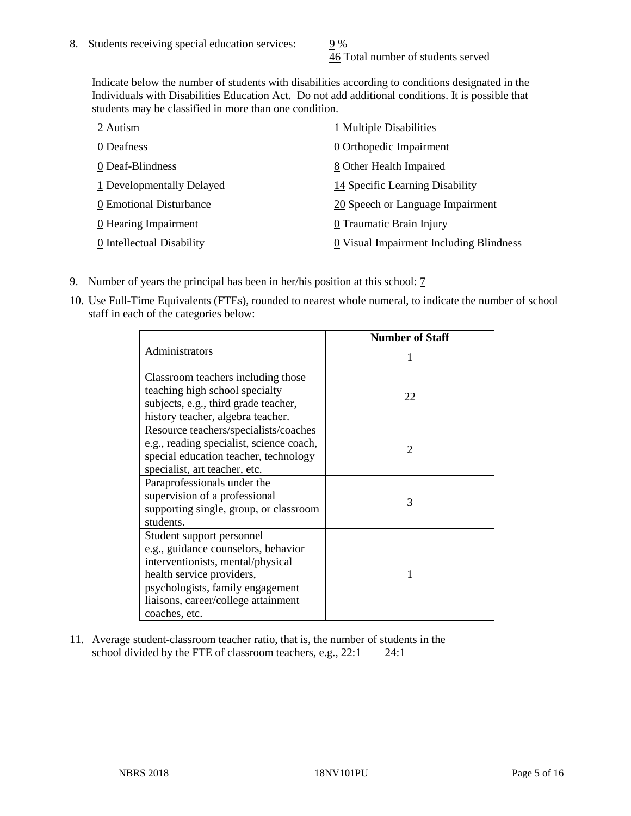46 Total number of students served

Indicate below the number of students with disabilities according to conditions designated in the Individuals with Disabilities Education Act. Do not add additional conditions. It is possible that students may be classified in more than one condition.

| 2 Autism                  | 1 Multiple Disabilities                 |
|---------------------------|-----------------------------------------|
| 0 Deafness                | 0 Orthopedic Impairment                 |
| 0 Deaf-Blindness          | 8 Other Health Impaired                 |
| 1 Developmentally Delayed | 14 Specific Learning Disability         |
| 0 Emotional Disturbance   | 20 Speech or Language Impairment        |
| 0 Hearing Impairment      | 0 Traumatic Brain Injury                |
| 0 Intellectual Disability | 0 Visual Impairment Including Blindness |

- 9. Number of years the principal has been in her/his position at this school: 7
- 10. Use Full-Time Equivalents (FTEs), rounded to nearest whole numeral, to indicate the number of school staff in each of the categories below:

|                                                                                                                                                                                                                                | <b>Number of Staff</b>      |
|--------------------------------------------------------------------------------------------------------------------------------------------------------------------------------------------------------------------------------|-----------------------------|
| Administrators                                                                                                                                                                                                                 |                             |
| Classroom teachers including those<br>teaching high school specialty<br>subjects, e.g., third grade teacher,<br>history teacher, algebra teacher.                                                                              | 22                          |
| Resource teachers/specialists/coaches<br>e.g., reading specialist, science coach,<br>special education teacher, technology<br>specialist, art teacher, etc.                                                                    | $\mathcal{D}_{\mathcal{A}}$ |
| Paraprofessionals under the<br>supervision of a professional<br>supporting single, group, or classroom<br>students.                                                                                                            | 3                           |
| Student support personnel<br>e.g., guidance counselors, behavior<br>interventionists, mental/physical<br>health service providers,<br>psychologists, family engagement<br>liaisons, career/college attainment<br>coaches, etc. |                             |

11. Average student-classroom teacher ratio, that is, the number of students in the school divided by the FTE of classroom teachers, e.g.,  $22:1$  24:1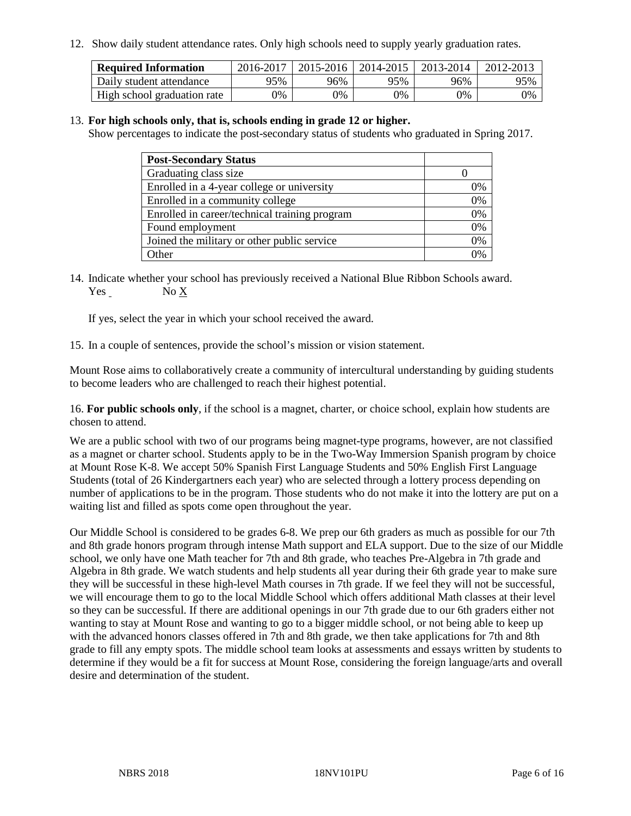12. Show daily student attendance rates. Only high schools need to supply yearly graduation rates.

| <b>Required Information</b> | 2016-2017 | $2015 - 2016$ | 2014-2015 | 2013-2014 | 2012-2013 |
|-----------------------------|-----------|---------------|-----------|-----------|-----------|
| Daily student attendance    | 95%       | 96%           | 95%       | 96%       | 95%       |
| High school graduation rate | 0%        | 0%            | 0%        | 9%        | 0%        |

#### 13. **For high schools only, that is, schools ending in grade 12 or higher.**

Show percentages to indicate the post-secondary status of students who graduated in Spring 2017.

| <b>Post-Secondary Status</b>                  |              |
|-----------------------------------------------|--------------|
| Graduating class size                         |              |
| Enrolled in a 4-year college or university    | 0%           |
| Enrolled in a community college               | 0%           |
| Enrolled in career/technical training program | 0%           |
| Found employment                              | 0%           |
| Joined the military or other public service   | 0%           |
| Other                                         | $\gamma_{0}$ |

14. Indicate whether your school has previously received a National Blue Ribbon Schools award. Yes No X

If yes, select the year in which your school received the award.

15. In a couple of sentences, provide the school's mission or vision statement.

Mount Rose aims to collaboratively create a community of intercultural understanding by guiding students to become leaders who are challenged to reach their highest potential.

16. **For public schools only**, if the school is a magnet, charter, or choice school, explain how students are chosen to attend.

We are a public school with two of our programs being magnet-type programs, however, are not classified as a magnet or charter school. Students apply to be in the Two-Way Immersion Spanish program by choice at Mount Rose K-8. We accept 50% Spanish First Language Students and 50% English First Language Students (total of 26 Kindergartners each year) who are selected through a lottery process depending on number of applications to be in the program. Those students who do not make it into the lottery are put on a waiting list and filled as spots come open throughout the year.

Our Middle School is considered to be grades 6-8. We prep our 6th graders as much as possible for our 7th and 8th grade honors program through intense Math support and ELA support. Due to the size of our Middle school, we only have one Math teacher for 7th and 8th grade, who teaches Pre-Algebra in 7th grade and Algebra in 8th grade. We watch students and help students all year during their 6th grade year to make sure they will be successful in these high-level Math courses in 7th grade. If we feel they will not be successful, we will encourage them to go to the local Middle School which offers additional Math classes at their level so they can be successful. If there are additional openings in our 7th grade due to our 6th graders either not wanting to stay at Mount Rose and wanting to go to a bigger middle school, or not being able to keep up with the advanced honors classes offered in 7th and 8th grade, we then take applications for 7th and 8th grade to fill any empty spots. The middle school team looks at assessments and essays written by students to determine if they would be a fit for success at Mount Rose, considering the foreign language/arts and overall desire and determination of the student.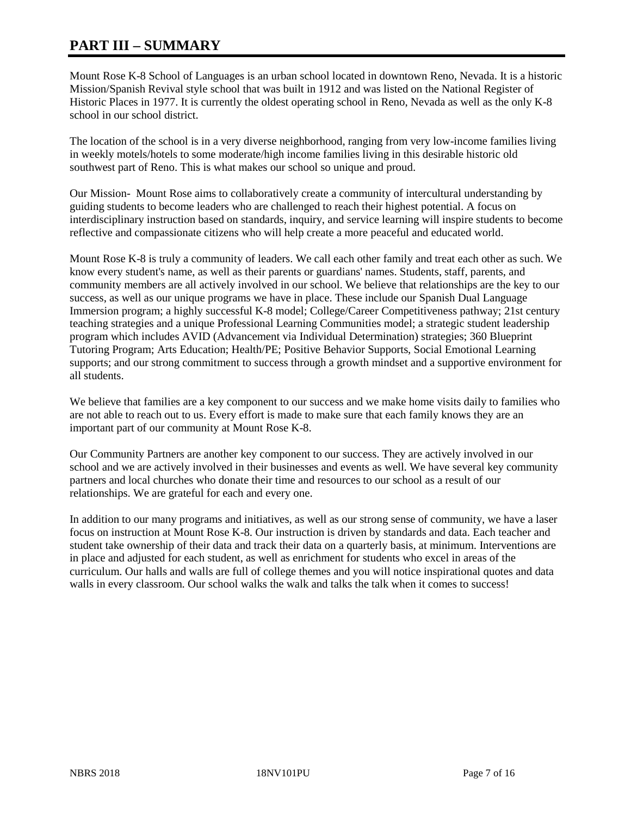# **PART III – SUMMARY**

Mount Rose K-8 School of Languages is an urban school located in downtown Reno, Nevada. It is a historic Mission/Spanish Revival style school that was built in 1912 and was listed on the National Register of Historic Places in 1977. It is currently the oldest operating school in Reno, Nevada as well as the only K-8 school in our school district.

The location of the school is in a very diverse neighborhood, ranging from very low-income families living in weekly motels/hotels to some moderate/high income families living in this desirable historic old southwest part of Reno. This is what makes our school so unique and proud.

Our Mission- Mount Rose aims to collaboratively create a community of intercultural understanding by guiding students to become leaders who are challenged to reach their highest potential. A focus on interdisciplinary instruction based on standards, inquiry, and service learning will inspire students to become reflective and compassionate citizens who will help create a more peaceful and educated world.

Mount Rose K-8 is truly a community of leaders. We call each other family and treat each other as such. We know every student's name, as well as their parents or guardians' names. Students, staff, parents, and community members are all actively involved in our school. We believe that relationships are the key to our success, as well as our unique programs we have in place. These include our Spanish Dual Language Immersion program; a highly successful K-8 model; College/Career Competitiveness pathway; 21st century teaching strategies and a unique Professional Learning Communities model; a strategic student leadership program which includes AVID (Advancement via Individual Determination) strategies; 360 Blueprint Tutoring Program; Arts Education; Health/PE; Positive Behavior Supports, Social Emotional Learning supports; and our strong commitment to success through a growth mindset and a supportive environment for all students.

We believe that families are a key component to our success and we make home visits daily to families who are not able to reach out to us. Every effort is made to make sure that each family knows they are an important part of our community at Mount Rose K-8.

Our Community Partners are another key component to our success. They are actively involved in our school and we are actively involved in their businesses and events as well. We have several key community partners and local churches who donate their time and resources to our school as a result of our relationships. We are grateful for each and every one.

In addition to our many programs and initiatives, as well as our strong sense of community, we have a laser focus on instruction at Mount Rose K-8. Our instruction is driven by standards and data. Each teacher and student take ownership of their data and track their data on a quarterly basis, at minimum. Interventions are in place and adjusted for each student, as well as enrichment for students who excel in areas of the curriculum. Our halls and walls are full of college themes and you will notice inspirational quotes and data walls in every classroom. Our school walks the walk and talks the talk when it comes to success!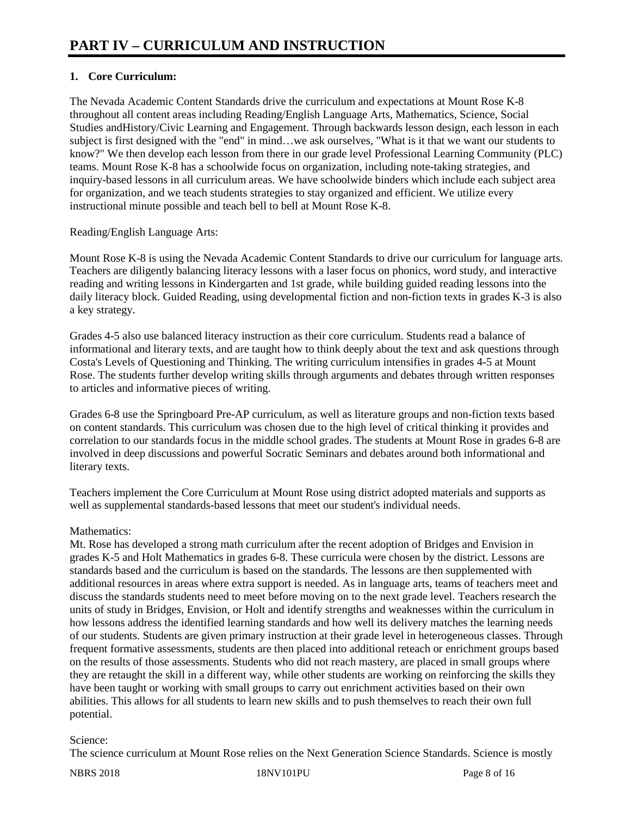# **1. Core Curriculum:**

The Nevada Academic Content Standards drive the curriculum and expectations at Mount Rose K-8 throughout all content areas including Reading/English Language Arts, Mathematics, Science, Social Studies andHistory/Civic Learning and Engagement. Through backwards lesson design, each lesson in each subject is first designed with the "end" in mind…we ask ourselves, "What is it that we want our students to know?" We then develop each lesson from there in our grade level Professional Learning Community (PLC) teams. Mount Rose K-8 has a schoolwide focus on organization, including note-taking strategies, and inquiry-based lessons in all curriculum areas. We have schoolwide binders which include each subject area for organization, and we teach students strategies to stay organized and efficient. We utilize every instructional minute possible and teach bell to bell at Mount Rose K-8.

#### Reading/English Language Arts:

Mount Rose K-8 is using the Nevada Academic Content Standards to drive our curriculum for language arts. Teachers are diligently balancing literacy lessons with a laser focus on phonics, word study, and interactive reading and writing lessons in Kindergarten and 1st grade, while building guided reading lessons into the daily literacy block. Guided Reading, using developmental fiction and non-fiction texts in grades K-3 is also a key strategy.

Grades 4-5 also use balanced literacy instruction as their core curriculum. Students read a balance of informational and literary texts, and are taught how to think deeply about the text and ask questions through Costa's Levels of Questioning and Thinking. The writing curriculum intensifies in grades 4-5 at Mount Rose. The students further develop writing skills through arguments and debates through written responses to articles and informative pieces of writing.

Grades 6-8 use the Springboard Pre-AP curriculum, as well as literature groups and non-fiction texts based on content standards. This curriculum was chosen due to the high level of critical thinking it provides and correlation to our standards focus in the middle school grades. The students at Mount Rose in grades 6-8 are involved in deep discussions and powerful Socratic Seminars and debates around both informational and literary texts.

Teachers implement the Core Curriculum at Mount Rose using district adopted materials and supports as well as supplemental standards-based lessons that meet our student's individual needs.

#### Mathematics:

Mt. Rose has developed a strong math curriculum after the recent adoption of Bridges and Envision in grades K-5 and Holt Mathematics in grades 6-8. These curricula were chosen by the district. Lessons are standards based and the curriculum is based on the standards. The lessons are then supplemented with additional resources in areas where extra support is needed. As in language arts, teams of teachers meet and discuss the standards students need to meet before moving on to the next grade level. Teachers research the units of study in Bridges, Envision, or Holt and identify strengths and weaknesses within the curriculum in how lessons address the identified learning standards and how well its delivery matches the learning needs of our students. Students are given primary instruction at their grade level in heterogeneous classes. Through frequent formative assessments, students are then placed into additional reteach or enrichment groups based on the results of those assessments. Students who did not reach mastery, are placed in small groups where they are retaught the skill in a different way, while other students are working on reinforcing the skills they have been taught or working with small groups to carry out enrichment activities based on their own abilities. This allows for all students to learn new skills and to push themselves to reach their own full potential.

#### Science:

The science curriculum at Mount Rose relies on the Next Generation Science Standards. Science is mostly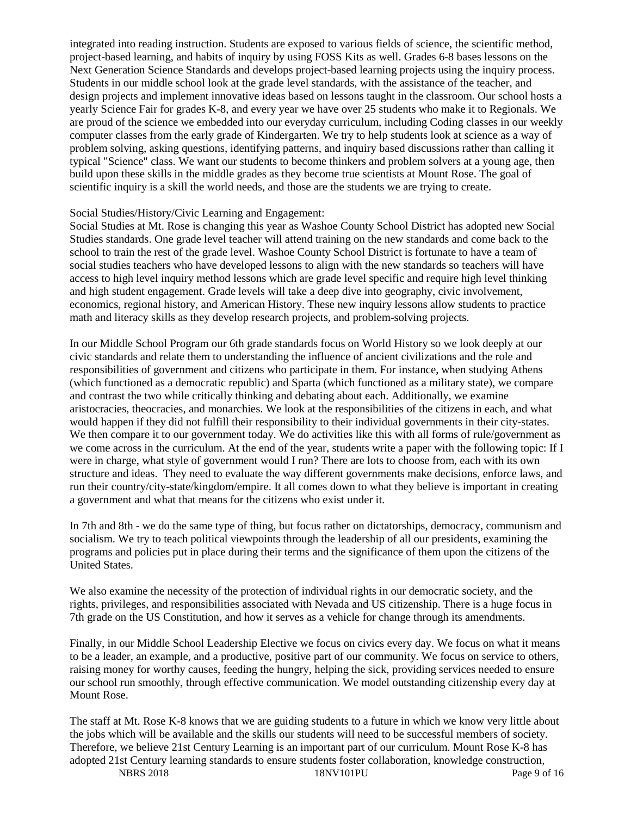integrated into reading instruction. Students are exposed to various fields of science, the scientific method, project-based learning, and habits of inquiry by using FOSS Kits as well. Grades 6-8 bases lessons on the Next Generation Science Standards and develops project-based learning projects using the inquiry process. Students in our middle school look at the grade level standards, with the assistance of the teacher, and design projects and implement innovative ideas based on lessons taught in the classroom. Our school hosts a yearly Science Fair for grades K-8, and every year we have over 25 students who make it to Regionals. We are proud of the science we embedded into our everyday curriculum, including Coding classes in our weekly computer classes from the early grade of Kindergarten. We try to help students look at science as a way of problem solving, asking questions, identifying patterns, and inquiry based discussions rather than calling it typical "Science" class. We want our students to become thinkers and problem solvers at a young age, then build upon these skills in the middle grades as they become true scientists at Mount Rose. The goal of scientific inquiry is a skill the world needs, and those are the students we are trying to create.

#### Social Studies/History/Civic Learning and Engagement:

Social Studies at Mt. Rose is changing this year as Washoe County School District has adopted new Social Studies standards. One grade level teacher will attend training on the new standards and come back to the school to train the rest of the grade level. Washoe County School District is fortunate to have a team of social studies teachers who have developed lessons to align with the new standards so teachers will have access to high level inquiry method lessons which are grade level specific and require high level thinking and high student engagement. Grade levels will take a deep dive into geography, civic involvement, economics, regional history, and American History. These new inquiry lessons allow students to practice math and literacy skills as they develop research projects, and problem-solving projects.

In our Middle School Program our 6th grade standards focus on World History so we look deeply at our civic standards and relate them to understanding the influence of ancient civilizations and the role and responsibilities of government and citizens who participate in them. For instance, when studying Athens (which functioned as a democratic republic) and Sparta (which functioned as a military state), we compare and contrast the two while critically thinking and debating about each. Additionally, we examine aristocracies, theocracies, and monarchies. We look at the responsibilities of the citizens in each, and what would happen if they did not fulfill their responsibility to their individual governments in their city-states. We then compare it to our government today. We do activities like this with all forms of rule/government as we come across in the curriculum. At the end of the year, students write a paper with the following topic: If I were in charge, what style of government would I run? There are lots to choose from, each with its own structure and ideas. They need to evaluate the way different governments make decisions, enforce laws, and run their country/city-state/kingdom/empire. It all comes down to what they believe is important in creating a government and what that means for the citizens who exist under it.

In 7th and 8th - we do the same type of thing, but focus rather on dictatorships, democracy, communism and socialism. We try to teach political viewpoints through the leadership of all our presidents, examining the programs and policies put in place during their terms and the significance of them upon the citizens of the United States.

We also examine the necessity of the protection of individual rights in our democratic society, and the rights, privileges, and responsibilities associated with Nevada and US citizenship. There is a huge focus in 7th grade on the US Constitution, and how it serves as a vehicle for change through its amendments.

Finally, in our Middle School Leadership Elective we focus on civics every day. We focus on what it means to be a leader, an example, and a productive, positive part of our community. We focus on service to others, raising money for worthy causes, feeding the hungry, helping the sick, providing services needed to ensure our school run smoothly, through effective communication. We model outstanding citizenship every day at Mount Rose.

NBRS 2018 18NV101PU Page 9 of 16 The staff at Mt. Rose K-8 knows that we are guiding students to a future in which we know very little about the jobs which will be available and the skills our students will need to be successful members of society. Therefore, we believe 21st Century Learning is an important part of our curriculum. Mount Rose K-8 has adopted 21st Century learning standards to ensure students foster collaboration, knowledge construction,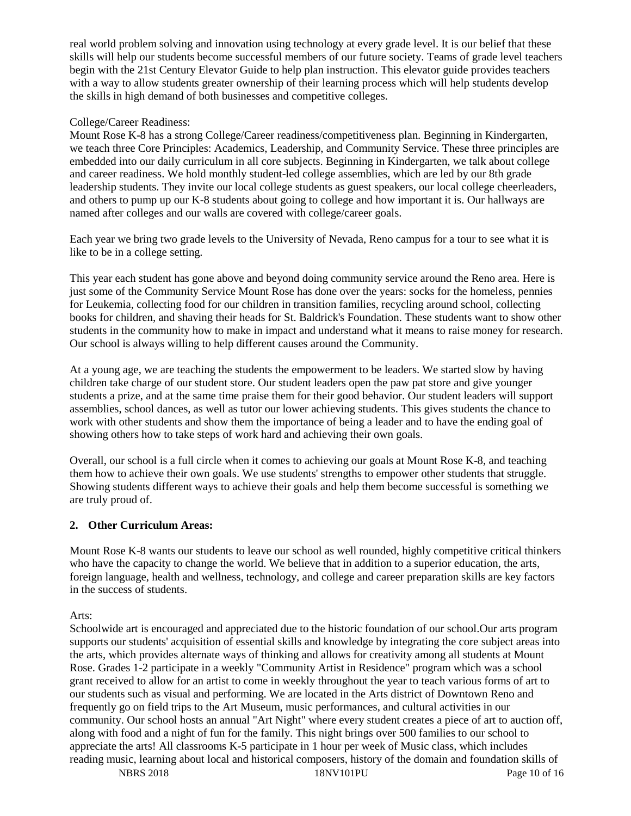real world problem solving and innovation using technology at every grade level. It is our belief that these skills will help our students become successful members of our future society. Teams of grade level teachers begin with the 21st Century Elevator Guide to help plan instruction. This elevator guide provides teachers with a way to allow students greater ownership of their learning process which will help students develop the skills in high demand of both businesses and competitive colleges.

#### College/Career Readiness:

Mount Rose K-8 has a strong College/Career readiness/competitiveness plan. Beginning in Kindergarten, we teach three Core Principles: Academics, Leadership, and Community Service. These three principles are embedded into our daily curriculum in all core subjects. Beginning in Kindergarten, we talk about college and career readiness. We hold monthly student-led college assemblies, which are led by our 8th grade leadership students. They invite our local college students as guest speakers, our local college cheerleaders, and others to pump up our K-8 students about going to college and how important it is. Our hallways are named after colleges and our walls are covered with college/career goals.

Each year we bring two grade levels to the University of Nevada, Reno campus for a tour to see what it is like to be in a college setting.

This year each student has gone above and beyond doing community service around the Reno area. Here is just some of the Community Service Mount Rose has done over the years: socks for the homeless, pennies for Leukemia, collecting food for our children in transition families, recycling around school, collecting books for children, and shaving their heads for St. Baldrick's Foundation. These students want to show other students in the community how to make in impact and understand what it means to raise money for research. Our school is always willing to help different causes around the Community.

At a young age, we are teaching the students the empowerment to be leaders. We started slow by having children take charge of our student store. Our student leaders open the paw pat store and give younger students a prize, and at the same time praise them for their good behavior. Our student leaders will support assemblies, school dances, as well as tutor our lower achieving students. This gives students the chance to work with other students and show them the importance of being a leader and to have the ending goal of showing others how to take steps of work hard and achieving their own goals.

Overall, our school is a full circle when it comes to achieving our goals at Mount Rose K-8, and teaching them how to achieve their own goals. We use students' strengths to empower other students that struggle. Showing students different ways to achieve their goals and help them become successful is something we are truly proud of.

## **2. Other Curriculum Areas:**

Mount Rose K-8 wants our students to leave our school as well rounded, highly competitive critical thinkers who have the capacity to change the world. We believe that in addition to a superior education, the arts, foreign language, health and wellness, technology, and college and career preparation skills are key factors in the success of students.

Arts:

Schoolwide art is encouraged and appreciated due to the historic foundation of our school.Our arts program supports our students' acquisition of essential skills and knowledge by integrating the core subject areas into the arts, which provides alternate ways of thinking and allows for creativity among all students at Mount Rose. Grades 1-2 participate in a weekly "Community Artist in Residence" program which was a school grant received to allow for an artist to come in weekly throughout the year to teach various forms of art to our students such as visual and performing. We are located in the Arts district of Downtown Reno and frequently go on field trips to the Art Museum, music performances, and cultural activities in our community. Our school hosts an annual "Art Night" where every student creates a piece of art to auction off, along with food and a night of fun for the family. This night brings over 500 families to our school to appreciate the arts! All classrooms K-5 participate in 1 hour per week of Music class, which includes reading music, learning about local and historical composers, history of the domain and foundation skills of

NBRS 2018 18NV101PU Page 10 of 16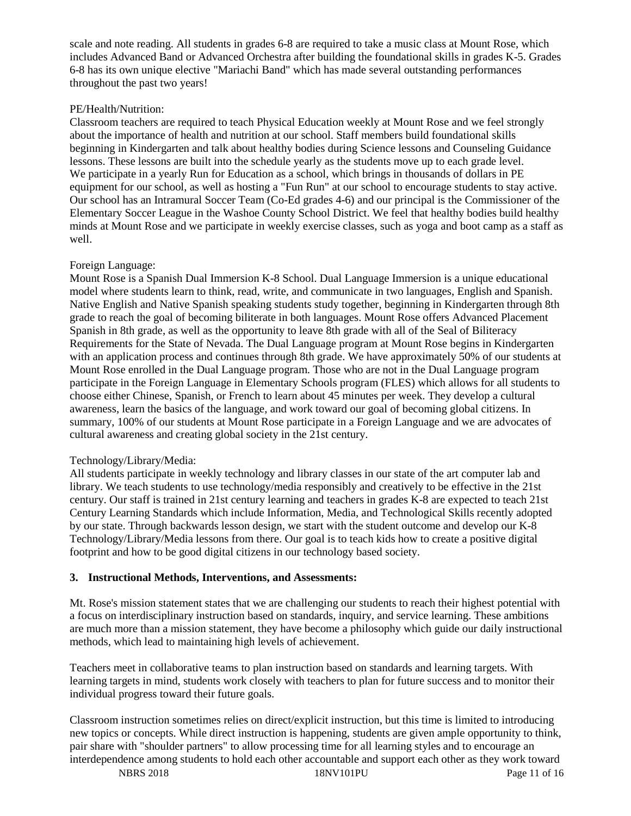scale and note reading. All students in grades 6-8 are required to take a music class at Mount Rose, which includes Advanced Band or Advanced Orchestra after building the foundational skills in grades K-5. Grades 6-8 has its own unique elective "Mariachi Band" which has made several outstanding performances throughout the past two years!

#### PE/Health/Nutrition:

Classroom teachers are required to teach Physical Education weekly at Mount Rose and we feel strongly about the importance of health and nutrition at our school. Staff members build foundational skills beginning in Kindergarten and talk about healthy bodies during Science lessons and Counseling Guidance lessons. These lessons are built into the schedule yearly as the students move up to each grade level. We participate in a yearly Run for Education as a school, which brings in thousands of dollars in PE equipment for our school, as well as hosting a "Fun Run" at our school to encourage students to stay active. Our school has an Intramural Soccer Team (Co-Ed grades 4-6) and our principal is the Commissioner of the Elementary Soccer League in the Washoe County School District. We feel that healthy bodies build healthy minds at Mount Rose and we participate in weekly exercise classes, such as yoga and boot camp as a staff as well.

#### Foreign Language:

Mount Rose is a Spanish Dual Immersion K-8 School. Dual Language Immersion is a unique educational model where students learn to think, read, write, and communicate in two languages, English and Spanish. Native English and Native Spanish speaking students study together, beginning in Kindergarten through 8th grade to reach the goal of becoming biliterate in both languages. Mount Rose offers Advanced Placement Spanish in 8th grade, as well as the opportunity to leave 8th grade with all of the Seal of Biliteracy Requirements for the State of Nevada. The Dual Language program at Mount Rose begins in Kindergarten with an application process and continues through 8th grade. We have approximately 50% of our students at Mount Rose enrolled in the Dual Language program. Those who are not in the Dual Language program participate in the Foreign Language in Elementary Schools program (FLES) which allows for all students to choose either Chinese, Spanish, or French to learn about 45 minutes per week. They develop a cultural awareness, learn the basics of the language, and work toward our goal of becoming global citizens. In summary, 100% of our students at Mount Rose participate in a Foreign Language and we are advocates of cultural awareness and creating global society in the 21st century.

#### Technology/Library/Media:

All students participate in weekly technology and library classes in our state of the art computer lab and library. We teach students to use technology/media responsibly and creatively to be effective in the 21st century. Our staff is trained in 21st century learning and teachers in grades K-8 are expected to teach 21st Century Learning Standards which include Information, Media, and Technological Skills recently adopted by our state. Through backwards lesson design, we start with the student outcome and develop our K-8 Technology/Library/Media lessons from there. Our goal is to teach kids how to create a positive digital footprint and how to be good digital citizens in our technology based society.

#### **3. Instructional Methods, Interventions, and Assessments:**

Mt. Rose's mission statement states that we are challenging our students to reach their highest potential with a focus on interdisciplinary instruction based on standards, inquiry, and service learning. These ambitions are much more than a mission statement, they have become a philosophy which guide our daily instructional methods, which lead to maintaining high levels of achievement.

Teachers meet in collaborative teams to plan instruction based on standards and learning targets. With learning targets in mind, students work closely with teachers to plan for future success and to monitor their individual progress toward their future goals.

Classroom instruction sometimes relies on direct/explicit instruction, but this time is limited to introducing new topics or concepts. While direct instruction is happening, students are given ample opportunity to think, pair share with "shoulder partners" to allow processing time for all learning styles and to encourage an interdependence among students to hold each other accountable and support each other as they work toward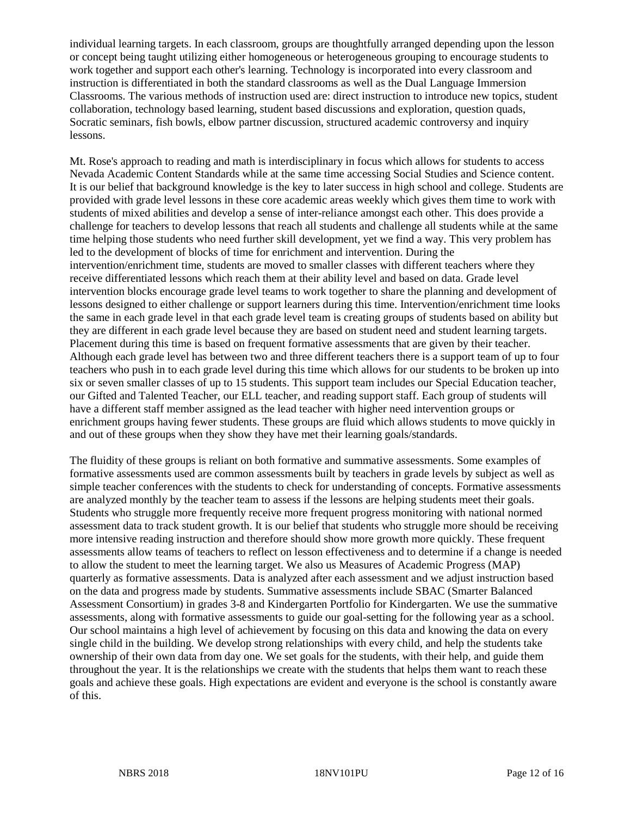individual learning targets. In each classroom, groups are thoughtfully arranged depending upon the lesson or concept being taught utilizing either homogeneous or heterogeneous grouping to encourage students to work together and support each other's learning. Technology is incorporated into every classroom and instruction is differentiated in both the standard classrooms as well as the Dual Language Immersion Classrooms. The various methods of instruction used are: direct instruction to introduce new topics, student collaboration, technology based learning, student based discussions and exploration, question quads, Socratic seminars, fish bowls, elbow partner discussion, structured academic controversy and inquiry lessons.

Mt. Rose's approach to reading and math is interdisciplinary in focus which allows for students to access Nevada Academic Content Standards while at the same time accessing Social Studies and Science content. It is our belief that background knowledge is the key to later success in high school and college. Students are provided with grade level lessons in these core academic areas weekly which gives them time to work with students of mixed abilities and develop a sense of inter-reliance amongst each other. This does provide a challenge for teachers to develop lessons that reach all students and challenge all students while at the same time helping those students who need further skill development, yet we find a way. This very problem has led to the development of blocks of time for enrichment and intervention. During the intervention/enrichment time, students are moved to smaller classes with different teachers where they receive differentiated lessons which reach them at their ability level and based on data. Grade level intervention blocks encourage grade level teams to work together to share the planning and development of lessons designed to either challenge or support learners during this time. Intervention/enrichment time looks the same in each grade level in that each grade level team is creating groups of students based on ability but they are different in each grade level because they are based on student need and student learning targets. Placement during this time is based on frequent formative assessments that are given by their teacher. Although each grade level has between two and three different teachers there is a support team of up to four teachers who push in to each grade level during this time which allows for our students to be broken up into six or seven smaller classes of up to 15 students. This support team includes our Special Education teacher, our Gifted and Talented Teacher, our ELL teacher, and reading support staff. Each group of students will have a different staff member assigned as the lead teacher with higher need intervention groups or enrichment groups having fewer students. These groups are fluid which allows students to move quickly in and out of these groups when they show they have met their learning goals/standards.

The fluidity of these groups is reliant on both formative and summative assessments. Some examples of formative assessments used are common assessments built by teachers in grade levels by subject as well as simple teacher conferences with the students to check for understanding of concepts. Formative assessments are analyzed monthly by the teacher team to assess if the lessons are helping students meet their goals. Students who struggle more frequently receive more frequent progress monitoring with national normed assessment data to track student growth. It is our belief that students who struggle more should be receiving more intensive reading instruction and therefore should show more growth more quickly. These frequent assessments allow teams of teachers to reflect on lesson effectiveness and to determine if a change is needed to allow the student to meet the learning target. We also us Measures of Academic Progress (MAP) quarterly as formative assessments. Data is analyzed after each assessment and we adjust instruction based on the data and progress made by students. Summative assessments include SBAC (Smarter Balanced Assessment Consortium) in grades 3-8 and Kindergarten Portfolio for Kindergarten. We use the summative assessments, along with formative assessments to guide our goal-setting for the following year as a school. Our school maintains a high level of achievement by focusing on this data and knowing the data on every single child in the building. We develop strong relationships with every child, and help the students take ownership of their own data from day one. We set goals for the students, with their help, and guide them throughout the year. It is the relationships we create with the students that helps them want to reach these goals and achieve these goals. High expectations are evident and everyone is the school is constantly aware of this.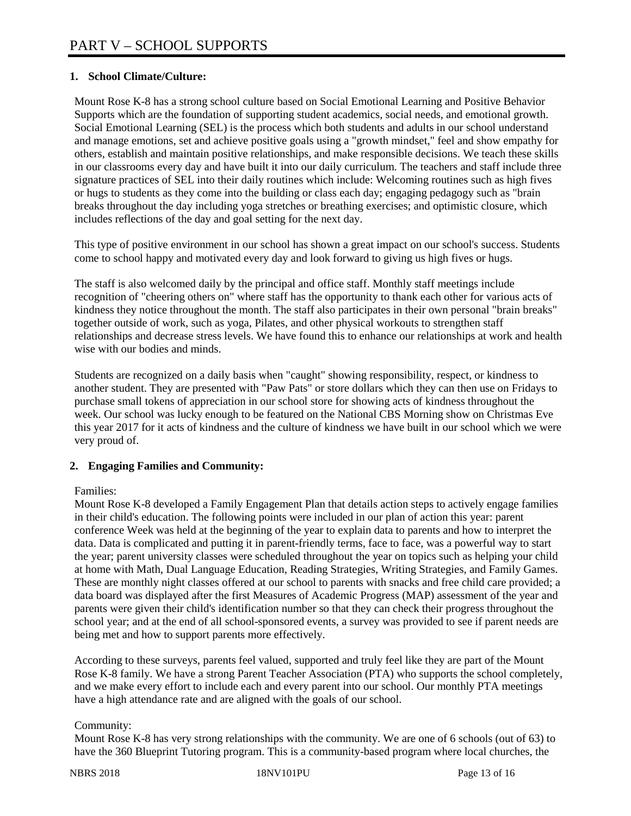# **1. School Climate/Culture:**

Mount Rose K-8 has a strong school culture based on Social Emotional Learning and Positive Behavior Supports which are the foundation of supporting student academics, social needs, and emotional growth. Social Emotional Learning (SEL) is the process which both students and adults in our school understand and manage emotions, set and achieve positive goals using a "growth mindset," feel and show empathy for others, establish and maintain positive relationships, and make responsible decisions. We teach these skills in our classrooms every day and have built it into our daily curriculum. The teachers and staff include three signature practices of SEL into their daily routines which include: Welcoming routines such as high fives or hugs to students as they come into the building or class each day; engaging pedagogy such as "brain breaks throughout the day including yoga stretches or breathing exercises; and optimistic closure, which includes reflections of the day and goal setting for the next day.

This type of positive environment in our school has shown a great impact on our school's success. Students come to school happy and motivated every day and look forward to giving us high fives or hugs.

The staff is also welcomed daily by the principal and office staff. Monthly staff meetings include recognition of "cheering others on" where staff has the opportunity to thank each other for various acts of kindness they notice throughout the month. The staff also participates in their own personal "brain breaks" together outside of work, such as yoga, Pilates, and other physical workouts to strengthen staff relationships and decrease stress levels. We have found this to enhance our relationships at work and health wise with our bodies and minds.

Students are recognized on a daily basis when "caught" showing responsibility, respect, or kindness to another student. They are presented with "Paw Pats" or store dollars which they can then use on Fridays to purchase small tokens of appreciation in our school store for showing acts of kindness throughout the week. Our school was lucky enough to be featured on the National CBS Morning show on Christmas Eve this year 2017 for it acts of kindness and the culture of kindness we have built in our school which we were very proud of.

## **2. Engaging Families and Community:**

## Families:

Mount Rose K-8 developed a Family Engagement Plan that details action steps to actively engage families in their child's education. The following points were included in our plan of action this year: parent conference Week was held at the beginning of the year to explain data to parents and how to interpret the data. Data is complicated and putting it in parent-friendly terms, face to face, was a powerful way to start the year; parent university classes were scheduled throughout the year on topics such as helping your child at home with Math, Dual Language Education, Reading Strategies, Writing Strategies, and Family Games. These are monthly night classes offered at our school to parents with snacks and free child care provided; a data board was displayed after the first Measures of Academic Progress (MAP) assessment of the year and parents were given their child's identification number so that they can check their progress throughout the school year; and at the end of all school-sponsored events, a survey was provided to see if parent needs are being met and how to support parents more effectively.

According to these surveys, parents feel valued, supported and truly feel like they are part of the Mount Rose K-8 family. We have a strong Parent Teacher Association (PTA) who supports the school completely, and we make every effort to include each and every parent into our school. Our monthly PTA meetings have a high attendance rate and are aligned with the goals of our school.

## Community:

Mount Rose K-8 has very strong relationships with the community. We are one of 6 schools (out of 63) to have the 360 Blueprint Tutoring program. This is a community-based program where local churches, the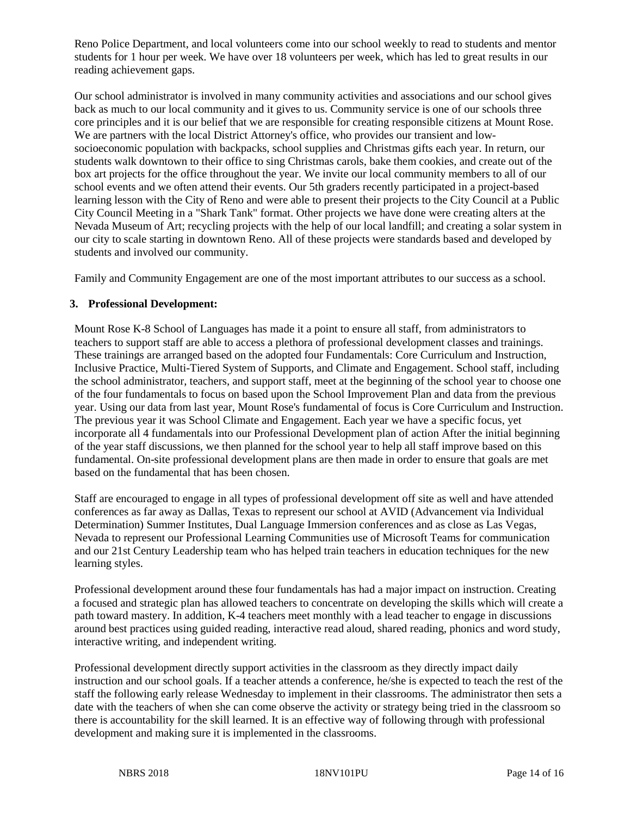Reno Police Department, and local volunteers come into our school weekly to read to students and mentor students for 1 hour per week. We have over 18 volunteers per week, which has led to great results in our reading achievement gaps.

Our school administrator is involved in many community activities and associations and our school gives back as much to our local community and it gives to us. Community service is one of our schools three core principles and it is our belief that we are responsible for creating responsible citizens at Mount Rose. We are partners with the local District Attorney's office, who provides our transient and lowsocioeconomic population with backpacks, school supplies and Christmas gifts each year. In return, our students walk downtown to their office to sing Christmas carols, bake them cookies, and create out of the box art projects for the office throughout the year. We invite our local community members to all of our school events and we often attend their events. Our 5th graders recently participated in a project-based learning lesson with the City of Reno and were able to present their projects to the City Council at a Public City Council Meeting in a "Shark Tank" format. Other projects we have done were creating alters at the Nevada Museum of Art; recycling projects with the help of our local landfill; and creating a solar system in our city to scale starting in downtown Reno. All of these projects were standards based and developed by students and involved our community.

Family and Community Engagement are one of the most important attributes to our success as a school.

#### **3. Professional Development:**

Mount Rose K-8 School of Languages has made it a point to ensure all staff, from administrators to teachers to support staff are able to access a plethora of professional development classes and trainings. These trainings are arranged based on the adopted four Fundamentals: Core Curriculum and Instruction, Inclusive Practice, Multi-Tiered System of Supports, and Climate and Engagement. School staff, including the school administrator, teachers, and support staff, meet at the beginning of the school year to choose one of the four fundamentals to focus on based upon the School Improvement Plan and data from the previous year. Using our data from last year, Mount Rose's fundamental of focus is Core Curriculum and Instruction. The previous year it was School Climate and Engagement. Each year we have a specific focus, yet incorporate all 4 fundamentals into our Professional Development plan of action After the initial beginning of the year staff discussions, we then planned for the school year to help all staff improve based on this fundamental. On-site professional development plans are then made in order to ensure that goals are met based on the fundamental that has been chosen.

Staff are encouraged to engage in all types of professional development off site as well and have attended conferences as far away as Dallas, Texas to represent our school at AVID (Advancement via Individual Determination) Summer Institutes, Dual Language Immersion conferences and as close as Las Vegas, Nevada to represent our Professional Learning Communities use of Microsoft Teams for communication and our 21st Century Leadership team who has helped train teachers in education techniques for the new learning styles.

Professional development around these four fundamentals has had a major impact on instruction. Creating a focused and strategic plan has allowed teachers to concentrate on developing the skills which will create a path toward mastery. In addition, K-4 teachers meet monthly with a lead teacher to engage in discussions around best practices using guided reading, interactive read aloud, shared reading, phonics and word study, interactive writing, and independent writing.

Professional development directly support activities in the classroom as they directly impact daily instruction and our school goals. If a teacher attends a conference, he/she is expected to teach the rest of the staff the following early release Wednesday to implement in their classrooms. The administrator then sets a date with the teachers of when she can come observe the activity or strategy being tried in the classroom so there is accountability for the skill learned. It is an effective way of following through with professional development and making sure it is implemented in the classrooms.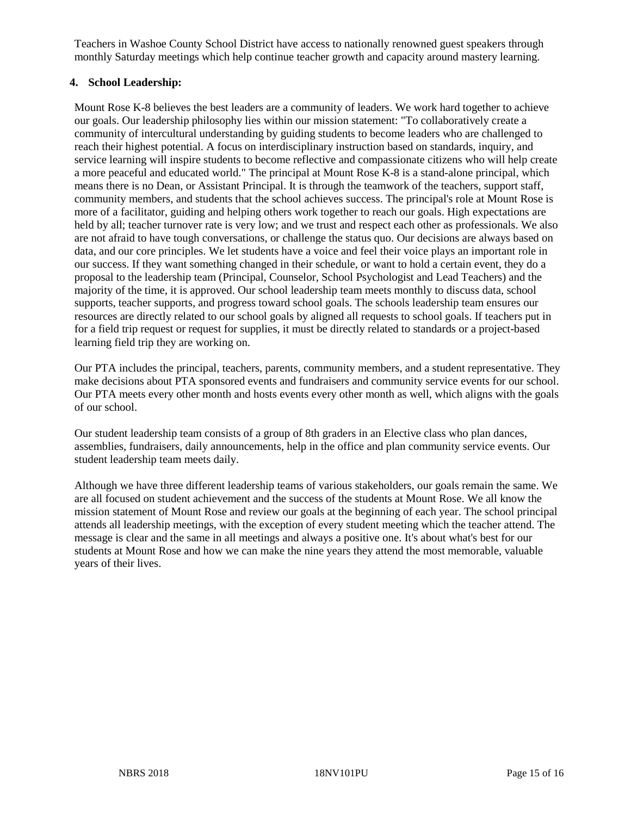Teachers in Washoe County School District have access to nationally renowned guest speakers through monthly Saturday meetings which help continue teacher growth and capacity around mastery learning.

#### **4. School Leadership:**

Mount Rose K-8 believes the best leaders are a community of leaders. We work hard together to achieve our goals. Our leadership philosophy lies within our mission statement: "To collaboratively create a community of intercultural understanding by guiding students to become leaders who are challenged to reach their highest potential. A focus on interdisciplinary instruction based on standards, inquiry, and service learning will inspire students to become reflective and compassionate citizens who will help create a more peaceful and educated world." The principal at Mount Rose K-8 is a stand-alone principal, which means there is no Dean, or Assistant Principal. It is through the teamwork of the teachers, support staff, community members, and students that the school achieves success. The principal's role at Mount Rose is more of a facilitator, guiding and helping others work together to reach our goals. High expectations are held by all; teacher turnover rate is very low; and we trust and respect each other as professionals. We also are not afraid to have tough conversations, or challenge the status quo. Our decisions are always based on data, and our core principles. We let students have a voice and feel their voice plays an important role in our success. If they want something changed in their schedule, or want to hold a certain event, they do a proposal to the leadership team (Principal, Counselor, School Psychologist and Lead Teachers) and the majority of the time, it is approved. Our school leadership team meets monthly to discuss data, school supports, teacher supports, and progress toward school goals. The schools leadership team ensures our resources are directly related to our school goals by aligned all requests to school goals. If teachers put in for a field trip request or request for supplies, it must be directly related to standards or a project-based learning field trip they are working on.

Our PTA includes the principal, teachers, parents, community members, and a student representative. They make decisions about PTA sponsored events and fundraisers and community service events for our school. Our PTA meets every other month and hosts events every other month as well, which aligns with the goals of our school.

Our student leadership team consists of a group of 8th graders in an Elective class who plan dances, assemblies, fundraisers, daily announcements, help in the office and plan community service events. Our student leadership team meets daily.

Although we have three different leadership teams of various stakeholders, our goals remain the same. We are all focused on student achievement and the success of the students at Mount Rose. We all know the mission statement of Mount Rose and review our goals at the beginning of each year. The school principal attends all leadership meetings, with the exception of every student meeting which the teacher attend. The message is clear and the same in all meetings and always a positive one. It's about what's best for our students at Mount Rose and how we can make the nine years they attend the most memorable, valuable years of their lives.